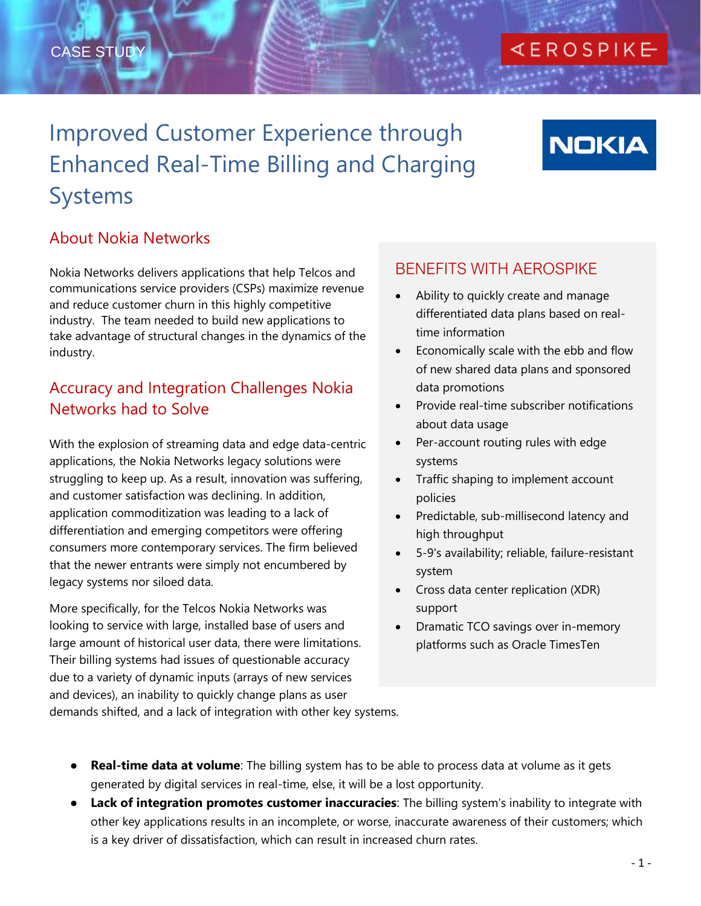## CASE STUDY

## **KEROSPIKE**

## Improved Customer Experience through Enhanced Real-Time Billing and Charging Systems

# **NOKIA**

## About Nokia Networks

Nokia Networks delivers applications that help Telcos and communications service providers (CSPs) maximize revenue and reduce customer churn in this highly competitive industry. The team needed to build new applications to take advantage of structural changes in the dynamics of the industry.

### Accuracy and Integration Challenges Nokia Networks had to Solve

With the explosion of streaming data and edge data-centric applications, the Nokia Networks legacy solutions were struggling to keep up. As a result, innovation was suffering, and customer satisfaction was declining. In addition, application commoditization was leading to a lack of differentiation and emerging competitors were offering consumers more contemporary services. The firm believed that the newer entrants were simply not encumbered by legacy systems nor siloed data.

More specifically, for the Telcos Nokia Networks was looking to service with large, installed base of users and large amount of historical user data, there were limitations. Their billing systems had issues of questionable accuracy due to a variety of dynamic inputs (arrays of new services and devices), an inability to quickly change plans as user demands shifted, and a lack of integration with other key systems.

#### BENEFITS WITH AEROSPIKE

- Ability to quickly create and manage differentiated data plans based on realtime information
- Economically scale with the ebb and flow of new shared data plans and sponsored data promotions
- Provide real-time subscriber notifications about data usage
- Per-account routing rules with edge systems
- Traffic shaping to implement account policies
- Predictable, sub-millisecond latency and high throughput
- 5-9's availability; reliable, failure-resistant system
- Cross data center replication (XDR) support
- Dramatic TCO savings over in-memory platforms such as Oracle TimesTen

- **Real-time data at volume**: The billing system has to be able to process data at volume as it gets generated by digital services in real-time, else, it will be a lost opportunity.
- **Lack of integration promotes customer inaccuracies**: The billing system's inability to integrate with other key applications results in an incomplete, or worse, inaccurate awareness of their customers; which is a key driver of dissatisfaction, which can result in increased churn rates.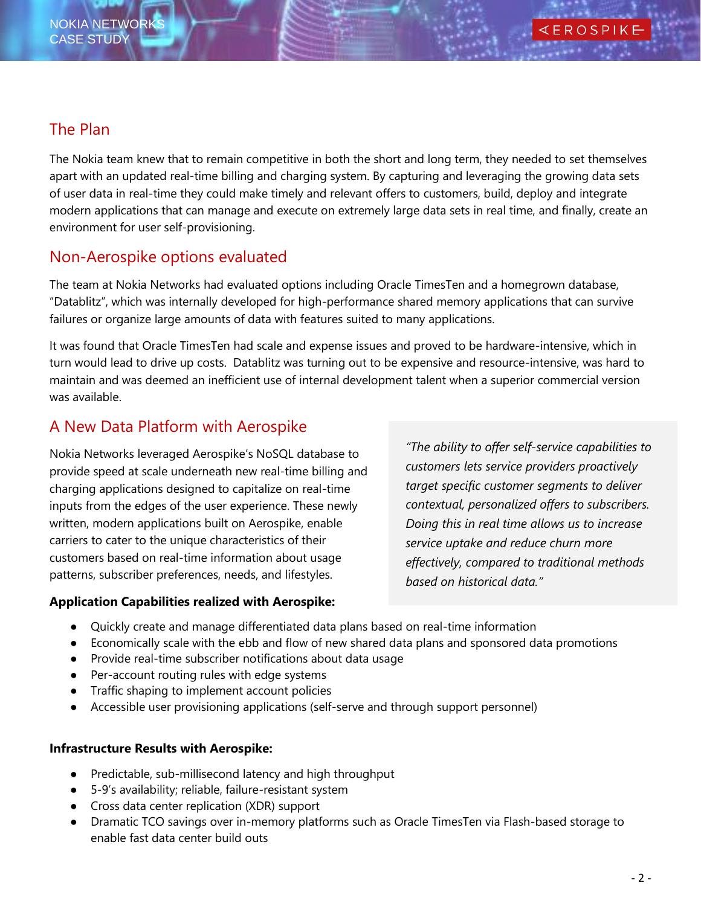#### The Plan

The Nokia team knew that to remain competitive in both the short and long term, they needed to set themselves apart with an updated real-time billing and charging system. By capturing and leveraging the growing data sets of user data in real-time they could make timely and relevant offers to customers, build, deploy and integrate modern applications that can manage and execute on extremely large data sets in real time, and finally, create an environment for user self-provisioning.

### Non-Aerospike options evaluated

The team at Nokia Networks had evaluated options including Oracle TimesTen and a homegrown database, "Datablitz", which was internally developed for high-performance shared memory applications that can survive failures or organize large amounts of data with features suited to many applications.

It was found that Oracle TimesTen had scale and expense issues and proved to be hardware-intensive, which in turn would lead to drive up costs. Datablitz was turning out to be expensive and resource-intensive, was hard to maintain and was deemed an inefficient use of internal development talent when a superior commercial version was available.

## A New Data Platform with Aerospike

Nokia Networks leveraged Aerospike's NoSQL database to provide speed at scale underneath new real-time billing and charging applications designed to capitalize on real-time inputs from the edges of the user experience. These newly written, modern applications built on Aerospike, enable carriers to cater to the unique characteristics of their customers based on real-time information about usage patterns, subscriber preferences, needs, and lifestyles.

## **Application Capabilities realized with Aerospike:**

*"The ability to offer self-service capabilities to customers lets service providers proactively target specific customer segments to deliver contextual, personalized offers to subscribers. Doing this in real time allows us to increase service uptake and reduce churn more effectively, compared to traditional methods based on historical data."* 

- **•** Quickly create and manage differentiated data plans based on real-time information
- Economically scale with the ebb and flow of new shared data plans and sponsored data promotions
- Provide real-time subscriber notifications about data usage
- Per-account routing rules with edge systems
- Traffic shaping to implement account policies
- Accessible user provisioning applications (self-serve and through support personnel)

#### **Infrastructure Results with Aerospike:**

- Predictable, sub-millisecond latency and high throughput
- 5-9's availability; reliable, failure-resistant system
- Cross data center replication (XDR) support
- Dramatic TCO savings over in-memory platforms such as Oracle TimesTen via Flash-based storage to enable fast data center build outs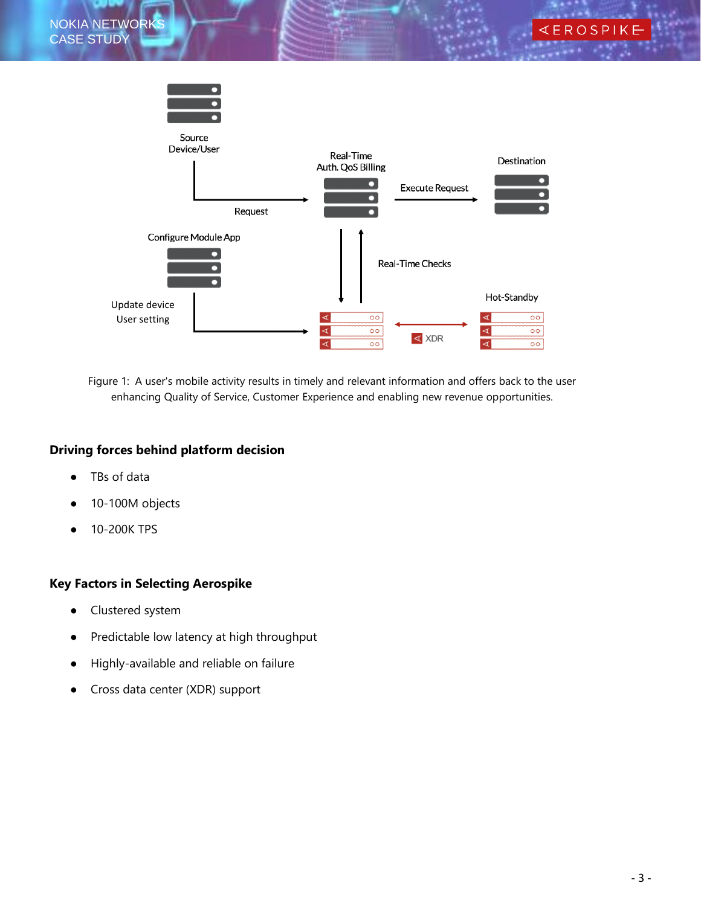

Figure 1: A user's mobile activity results in timely and relevant information and offers back to the user enhancing Quality of Service, Customer Experience and enabling new revenue opportunities.

#### **Driving forces behind platform decision**

- TBs of data
- 10-100M objects
- 10-200K TPS

#### **Key Factors in Selecting Aerospike**

- Clustered system
- Predictable low latency at high throughput
- Highly-available and reliable on failure
- Cross data center (XDR) support